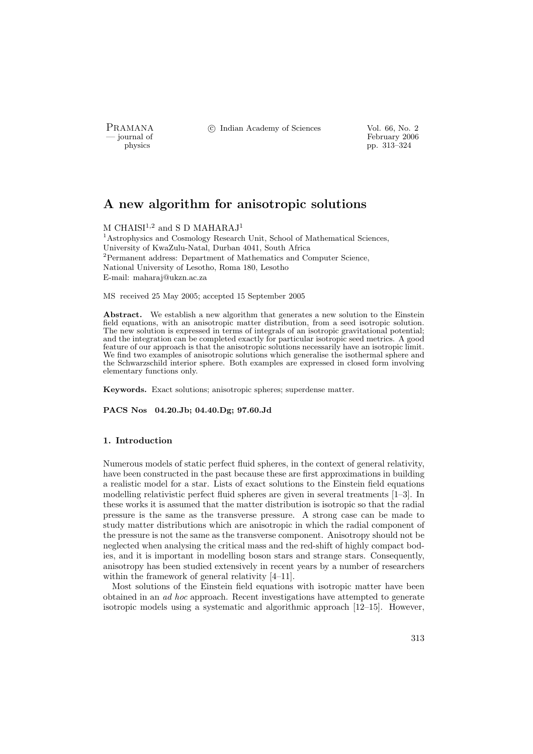PRAMANA °c Indian Academy of Sciences Vol. 66, No. 2

physics<br>
and the settlement of February 2006<br>
pp. 313–324 physics pp. 313–324

# A new algorithm for anisotropic solutions

M CHAISI<sup>1,2</sup> and S D MAHARAJ<sup>1</sup>

<sup>1</sup> Astrophysics and Cosmology Research Unit, School of Mathematical Sciences, University of KwaZulu-Natal, Durban 4041, South Africa <sup>2</sup>Permanent address: Department of Mathematics and Computer Science, National University of Lesotho, Roma 180, Lesotho E-mail: maharaj@ukzn.ac.za

MS received 25 May 2005; accepted 15 September 2005

Abstract. We establish a new algorithm that generates a new solution to the Einstein field equations, with an anisotropic matter distribution, from a seed isotropic solution. The new solution is expressed in terms of integrals of an isotropic gravitational potential; and the integration can be completed exactly for particular isotropic seed metrics. A good feature of our approach is that the anisotropic solutions necessarily have an isotropic limit. We find two examples of anisotropic solutions which generalise the isothermal sphere and the Schwarzschild interior sphere. Both examples are expressed in closed form involving elementary functions only.

Keywords. Exact solutions; anisotropic spheres; superdense matter.

PACS Nos 04.20.Jb; 04.40.Dg; 97.60.Jd

#### 1. Introduction

Numerous models of static perfect fluid spheres, in the context of general relativity, have been constructed in the past because these are first approximations in building a realistic model for a star. Lists of exact solutions to the Einstein field equations modelling relativistic perfect fluid spheres are given in several treatments [1–3]. In these works it is assumed that the matter distribution is isotropic so that the radial pressure is the same as the transverse pressure. A strong case can be made to study matter distributions which are anisotropic in which the radial component of the pressure is not the same as the transverse component. Anisotropy should not be neglected when analysing the critical mass and the red-shift of highly compact bodies, and it is important in modelling boson stars and strange stars. Consequently, anisotropy has been studied extensively in recent years by a number of researchers within the framework of general relativity [4–11].

Most solutions of the Einstein field equations with isotropic matter have been obtained in an ad hoc approach. Recent investigations have attempted to generate isotropic models using a systematic and algorithmic approach [12–15]. However,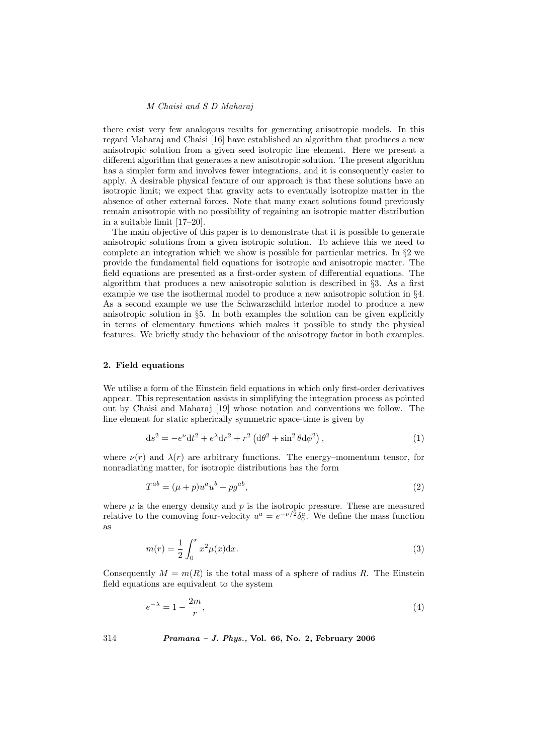there exist very few analogous results for generating anisotropic models. In this regard Maharaj and Chaisi [16] have established an algorithm that produces a new anisotropic solution from a given seed isotropic line element. Here we present a different algorithm that generates a new anisotropic solution. The present algorithm has a simpler form and involves fewer integrations, and it is consequently easier to apply. A desirable physical feature of our approach is that these solutions have an isotropic limit; we expect that gravity acts to eventually isotropize matter in the absence of other external forces. Note that many exact solutions found previously remain anisotropic with no possibility of regaining an isotropic matter distribution in a suitable limit [17–20].

The main objective of this paper is to demonstrate that it is possible to generate anisotropic solutions from a given isotropic solution. To achieve this we need to complete an integration which we show is possible for particular metrics. In §2 we provide the fundamental field equations for isotropic and anisotropic matter. The field equations are presented as a first-order system of differential equations. The algorithm that produces a new anisotropic solution is described in  $\S$ 3. As a first example we use the isothermal model to produce a new anisotropic solution in §4. As a second example we use the Schwarzschild interior model to produce a new anisotropic solution in §5. In both examples the solution can be given explicitly in terms of elementary functions which makes it possible to study the physical features. We briefly study the behaviour of the anisotropy factor in both examples.

#### 2. Field equations

We utilise a form of the Einstein field equations in which only first-order derivatives appear. This representation assists in simplifying the integration process as pointed out by Chaisi and Maharaj [19] whose notation and conventions we follow. The line element for static spherically symmetric space-time is given by

$$
ds^{2} = -e^{\nu}dt^{2} + e^{\lambda}dr^{2} + r^{2}(d\theta^{2} + \sin^{2}\theta d\phi^{2}), \qquad (1)
$$

where  $\nu(r)$  and  $\lambda(r)$  are arbitrary functions. The energy–momentum tensor, for nonradiating matter, for isotropic distributions has the form

$$
T^{ab} = (\mu + p)u^a u^b + pg^{ab},\tag{2}
$$

where  $\mu$  is the energy density and  $p$  is the isotropic pressure. These are measured relative to the comoving four-velocity  $u^a = e^{-\nu/2} \delta_0^a$ . We define the mass function as

$$
m(r) = \frac{1}{2} \int_0^r x^2 \mu(x) dx.
$$
 (3)

Consequently  $M = m(R)$  is the total mass of a sphere of radius R. The Einstein field equations are equivalent to the system

$$
e^{-\lambda} = 1 - \frac{2m}{r},\tag{4}
$$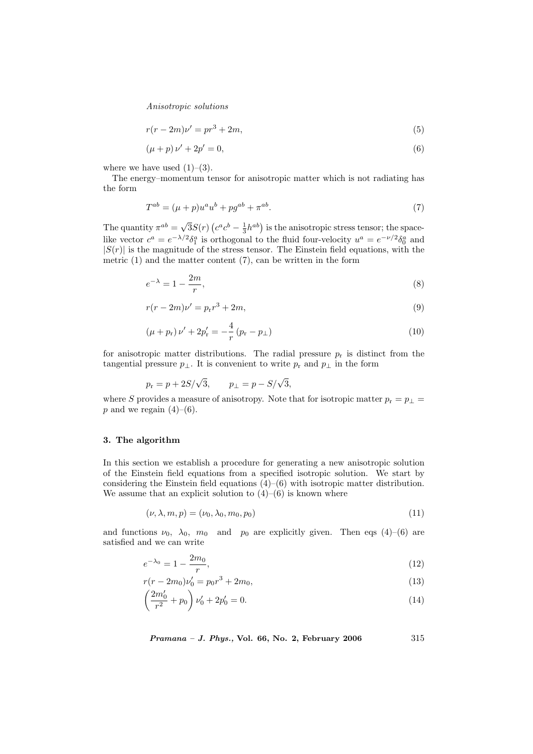$$
r(r - 2m)\nu' = pr^3 + 2m,\t\t(5)
$$

$$
(\mu + p)\nu' + 2p' = 0,\t\t(6)
$$

where we have used  $(1)-(3)$ .

The energy–momentum tensor for anisotropic matter which is not radiating has the form

$$
T^{ab} = (\mu + p)u^{a}u^{b} + pg^{ab} + \pi^{ab}.
$$
\n(7)

The quantity  $\pi^{ab} = \sqrt{\frac{a^b}{a^b}}$  $3S(r)$ ¡  $c^a c^b - \frac{1}{3} h^{ab}$ ) is the anisotropic stress tensor; the spacelike vector  $c^a = e^{-\lambda/2} \delta_1^a$  is orthogonal to the fluid four-velocity  $u^a = e^{-\nu/2} \delta_0^a$  and  $|S(r)|$  is the magnitude of the stress tensor. The Einstein field equations, with the metric  $(1)$  and the matter content  $(7)$ , can be written in the form

$$
e^{-\lambda} = 1 - \frac{2m}{r},\tag{8}
$$

$$
r(r - 2m)\nu' = p_r r^3 + 2m,\t\t(9)
$$

$$
(\mu + p_{\rm r})\nu' + 2p_{\rm r}' = -\frac{4}{r}(p_{\rm r} - p_{\perp})\tag{10}
$$

for anisotropic matter distributions. The radial pressure  $p_r$  is distinct from the tangential pressure  $p_{\perp}$ . It is convenient to write  $p_{r}$  and  $p_{\perp}$  in the form

$$
p_r = p + 2S/\sqrt{3},
$$
  $p_{\perp} = p - S/\sqrt{3},$ 

where S provides a measure of anisotropy. Note that for isotropic matter  $p_r = p_\perp =$ p and we regain  $(4)-(6)$ .

#### 3. The algorithm

In this section we establish a procedure for generating a new anisotropic solution of the Einstein field equations from a specified isotropic solution. We start by considering the Einstein field equations  $(4)$ – $(6)$  with isotropic matter distribution. We assume that an explicit solution to  $(4)$ – $(6)$  is known where

$$
(\nu, \lambda, m, p) = (\nu_0, \lambda_0, m_0, p_0) \tag{11}
$$

and functions  $\nu_0$ ,  $\lambda_0$ ,  $m_0$  and  $p_0$  are explicitly given. Then eqs (4)–(6) are satisfied and we can write

$$
e^{-\lambda_0} = 1 - \frac{2m_0}{r},\tag{12}
$$

$$
r(r - 2m_0)\nu'_0 = p_0 r^3 + 2m_0,\tag{13}
$$

$$
\left(\frac{2m'_0}{r^2} + p_0\right)\nu'_0 + 2p'_0 = 0.\tag{14}
$$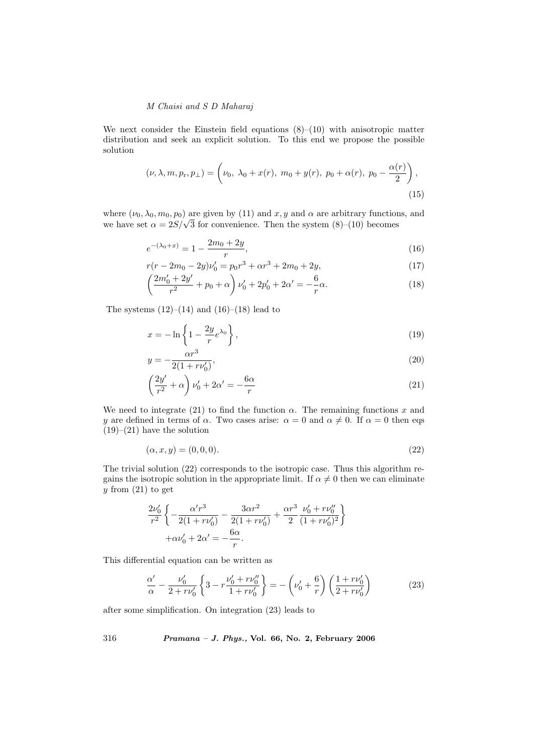We next consider the Einstein field equations  $(8)$ – $(10)$  with anisotropic matter distribution and seek an explicit solution. To this end we propose the possible solution

$$
(\nu, \lambda, m, p_{r}, p_{\perp}) = \left(\nu_{0}, \lambda_{0} + x(r), m_{0} + y(r), p_{0} + \alpha(r), p_{0} - \frac{\alpha(r)}{2}\right),
$$
\n(15)

where  $(\nu_0, \lambda_0, m_0, p_0)$  are given by (11) and x, y and  $\alpha$  are arbitrary functions, and where  $(\nu_0, \lambda_0, m_0, p_0)$  are given by (11) and x, y and  $\alpha$  are arbitrary function<br>we have set  $\alpha = 2S/\sqrt{3}$  for convenience. Then the system (8)–(10) becomes

$$
e^{-(\lambda_0+x)} = 1 - \frac{2m_0 + 2y}{r},\tag{16}
$$

$$
r(r - 2m_0 - 2y)\nu'_0 = p_0 r^3 + \alpha r^3 + 2m_0 + 2y,
$$
  
(2*m'* + 2*u'*)

$$
\left(\frac{2m'_0 + 2y'}{r^2} + p_0 + \alpha\right)\nu'_0 + 2p'_0 + 2\alpha' = -\frac{6}{r}\alpha.
$$
\n(18)

The systems  $(12)–(14)$  and  $(16)–(18)$  lead to

$$
x = -\ln\left\{1 - \frac{2y}{r}e^{\lambda_0}\right\},\tag{19}
$$

$$
y = -\frac{\alpha r^3}{2(1 + r\nu'_0)},
$$
\n(20)

$$
\left(\frac{2y'}{r^2} + \alpha\right)\nu_0' + 2\alpha' = -\frac{6\alpha}{r}
$$
\n(21)

We need to integrate (21) to find the function  $\alpha$ . The remaining functions x and y are defined in terms of  $\alpha$ . Two cases arise:  $\alpha = 0$  and  $\alpha \neq 0$ . If  $\alpha = 0$  then eqs  $(19)–(21)$  have the solution

$$
(\alpha, x, y) = (0, 0, 0). \tag{22}
$$

The trivial solution (22) corresponds to the isotropic case. Thus this algorithm regains the isotropic solution in the appropriate limit. If  $\alpha \neq 0$  then we can eliminate y from  $(21)$  to get

$$
\begin{split} \frac{2\nu'_0}{r^2}\left\{-\frac{\alpha' r^3}{2(1+r\nu'_0)}-\frac{3\alpha r^2}{2(1+r\nu'_0)}+\frac{\alpha r^3}{2}\frac{\nu'_0+r\nu''_0}{(1+r\nu'_0)^2}\right\}\\+\alpha\nu'_0+2\alpha'=-\frac{6\alpha}{r}. \end{split}
$$

This differential equation can be written as

$$
\frac{\alpha'}{\alpha} - \frac{\nu'_0}{2 + r\nu'_0} \left\{ 3 - r \frac{\nu'_0 + r\nu''_0}{1 + r\nu'_0} \right\} = -\left(\nu'_0 + \frac{6}{r}\right) \left(\frac{1 + r\nu'_0}{2 + r\nu'_0}\right) \tag{23}
$$

after some simplification. On integration (23) leads to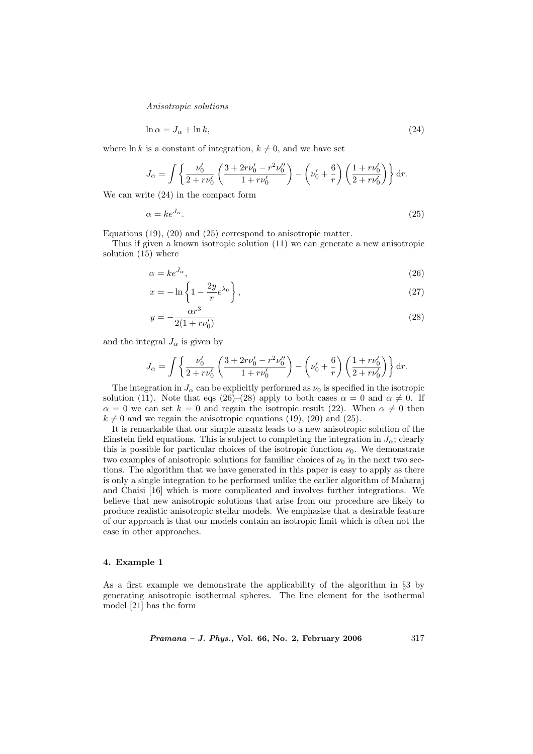$$
\ln \alpha = J_\alpha + \ln k,\tag{24}
$$

where  $\ln k$  is a constant of integration,  $k \neq 0$ , and we have set

$$
J_{\alpha} = \int \left\{ \frac{\nu'_0}{2 + r\nu'_0} \left( \frac{3 + 2r\nu'_0 - r^2\nu''_0}{1 + r\nu'_0} \right) - \left( \nu'_0 + \frac{6}{r} \right) \left( \frac{1 + r\nu'_0}{2 + r\nu'_0} \right) \right\} dr.
$$

We can write (24) in the compact form

$$
\alpha = ke^{J_{\alpha}}.\tag{25}
$$

Equations (19), (20) and (25) correspond to anisotropic matter.

Thus if given a known isotropic solution (11) we can generate a new anisotropic solution (15) where

$$
\alpha = ke^{J_{\alpha}},\tag{26}
$$

$$
x = -\ln\left\{1 - \frac{2y}{r}e^{\lambda_0}\right\},\tag{27}
$$

$$
y = -\frac{\alpha r^3}{2(1 + r\nu_0')}
$$
 (28)

and the integral  $J_{\alpha}$  is given by

$$
J_{\alpha} = \int \left\{ \frac{\nu'_0}{2 + r\nu'_0} \left( \frac{3 + 2r\nu'_0 - r^2\nu''_0}{1 + r\nu'_0} \right) - \left( \nu'_0 + \frac{6}{r} \right) \left( \frac{1 + r\nu'_0}{2 + r\nu'_0} \right) \right\} dr.
$$

The integration in  $J_{\alpha}$  can be explicitly performed as  $\nu_0$  is specified in the isotropic solution (11). Note that eqs (26)–(28) apply to both cases  $\alpha = 0$  and  $\alpha \neq 0$ . If  $\alpha = 0$  we can set  $k = 0$  and regain the isotropic result (22). When  $\alpha \neq 0$  then  $k \neq 0$  and we regain the anisotropic equations (19), (20) and (25).

It is remarkable that our simple ansatz leads to a new anisotropic solution of the Einstein field equations. This is subject to completing the integration in  $J_{\alpha}$ ; clearly this is possible for particular choices of the isotropic function  $\nu_0$ . We demonstrate two examples of anisotropic solutions for familiar choices of  $\nu_0$  in the next two sections. The algorithm that we have generated in this paper is easy to apply as there is only a single integration to be performed unlike the earlier algorithm of Maharaj and Chaisi [16] which is more complicated and involves further integrations. We believe that new anisotropic solutions that arise from our procedure are likely to produce realistic anisotropic stellar models. We emphasise that a desirable feature of our approach is that our models contain an isotropic limit which is often not the case in other approaches.

#### 4. Example 1

As a first example we demonstrate the applicability of the algorithm in §3 by generating anisotropic isothermal spheres. The line element for the isothermal model [21] has the form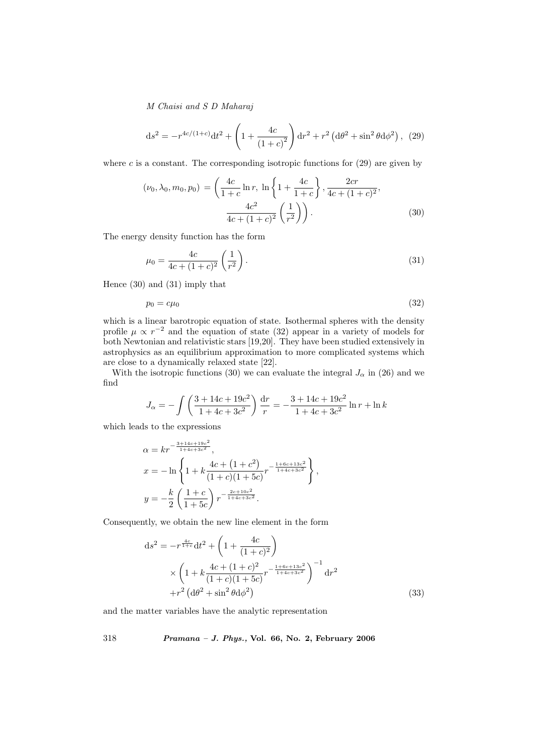$$
ds^{2} = -r^{4c/(1+c)}dt^{2} + \left(1 + \frac{4c}{(1+c)^{2}}\right)dr^{2} + r^{2} \left(d\theta^{2} + \sin^{2}\theta d\phi^{2}\right), (29)
$$

where c is a constant. The corresponding isotropic functions for  $(29)$  are given by

$$
(\nu_0, \lambda_0, m_0, p_0) = \left(\frac{4c}{1+c} \ln r, \ln \left\{1 + \frac{4c}{1+c}\right\}, \frac{2cr}{4c + (1+c)^2}, \frac{4c^2}{4c + (1+c)^2} \left(\frac{1}{r^2}\right)\right).
$$
 (30)

The energy density function has the form

$$
\mu_0 = \frac{4c}{4c + (1+c)^2} \left(\frac{1}{r^2}\right).
$$
\n(31)

Hence (30) and (31) imply that

$$
p_0 = c\mu_0 \tag{32}
$$

which is a linear barotropic equation of state. Isothermal spheres with the density profile  $\mu \propto r^{-2}$  and the equation of state (32) appear in a variety of models for both Newtonian and relativistic stars [19,20]. They have been studied extensively in astrophysics as an equilibrium approximation to more complicated systems which are close to a dynamically relaxed state [22].

With the isotropic functions (30) we can evaluate the integral  $J_{\alpha}$  in (26) and we find

$$
J_{\alpha} = -\int \left(\frac{3 + 14c + 19c^2}{1 + 4c + 3c^2}\right) \frac{dr}{r} = -\frac{3 + 14c + 19c^2}{1 + 4c + 3c^2} \ln r + \ln k
$$

which leads to the expressions

$$
\alpha = kr^{-\frac{3+14c+19c^2}{1+4c+3c^2}},
$$
  
\n
$$
x = -\ln\left\{1 + k\frac{4c + (1+c^2)}{(1+c)(1+5c)}r^{-\frac{1+6c+13c^2}{1+4c+3c^2}}\right\},
$$
  
\n
$$
y = -\frac{k}{2}\left(\frac{1+c}{1+5c}\right)r^{-\frac{2c+10c^2}{1+4c+3c^2}}.
$$

Consequently, we obtain the new line element in the form

$$
ds^{2} = -r^{\frac{4c}{1+c}}dt^{2} + \left(1 + \frac{4c}{(1+c)^{2}}\right)
$$
  
 
$$
\times \left(1 + k\frac{4c + (1+c)^{2}}{(1+c)(1+5c)}r^{-\frac{1+6c+13c^{2}}{1+4c+3c^{2}}}\right)^{-1} dr^{2}
$$
  
 
$$
+r^{2} \left(d\theta^{2} + \sin^{2}\theta d\phi^{2}\right)
$$
 (33)

and the matter variables have the analytic representation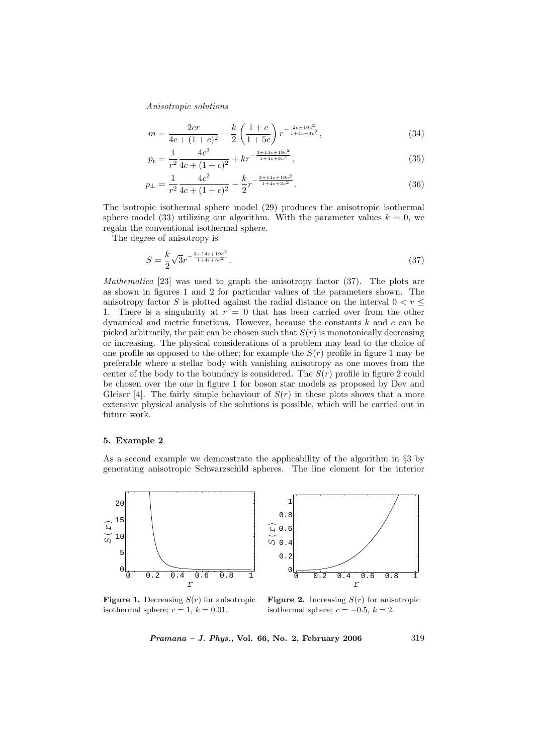$$
m = \frac{2cr}{4c + (1 + c)^2} - \frac{k}{2} \left(\frac{1 + c}{1 + 5c}\right) r^{-\frac{2c + 10c^2}{1 + 4c + 3c^2}},\tag{34}
$$

$$
p_{\rm r} = \frac{1}{r^2} \frac{4c^2}{4c + (1+c)^2} + kr^{-\frac{3+14c+19c^2}{1+4c+3c^2}},\tag{35}
$$

$$
p_{\perp} = \frac{1}{r^2} \frac{4c^2}{4c + (1+c)^2} - \frac{k}{2} r^{-\frac{3+14c + 19c^2}{1+4c + 3c^2}}.
$$
 (36)

The isotropic isothermal sphere model (29) produces the anisotropic isothermal sphere model (33) utilizing our algorithm. With the parameter values  $k = 0$ , we regain the conventional isothermal sphere.

The degree of anisotropy is

$$
S = \frac{k}{2}\sqrt{3}r^{-\frac{3+14c+19c^2}{1+4c+3c^2}}.\tag{37}
$$

*Mathematica* [23] was used to graph the anisotropy factor  $(37)$ . The plots are as shown in figures 1 and 2 for particular values of the parameters shown. The anisotropy factor S is plotted against the radial distance on the interval  $0 < r <$ 1. There is a singularity at  $r = 0$  that has been carried over from the other dynamical and metric functions. However, because the constants  $k$  and  $c$  can be picked arbitrarily, the pair can be chosen such that  $S(r)$  is monotonically decreasing or increasing. The physical considerations of a problem may lead to the choice of one profile as opposed to the other; for example the  $S(r)$  profile in figure 1 may be preferable where a stellar body with vanishing anisotropy as one moves from the center of the body to the boundary is considered. The  $S(r)$  profile in figure 2 could be chosen over the one in figure 1 for boson star models as proposed by Dev and Gleiser [4]. The fairly simple behaviour of  $S(r)$  in these plots shows that a more extensive physical analysis of the solutions is possible, which will be carried out in future work.

#### 5. Example 2

As a second example we demonstrate the applicability of the algorithm in §3 by generating anisotropic Schwarzschild spheres. The line element for the interior



**Figure 1.** Decreasing  $S(r)$  for anisotropic isothermal sphere;  $c = 1$ ,  $k = 0.01$ .

**Figure 2.** Increasing  $S(r)$  for anisotropic isothermal sphere;  $c = -0.5$ ,  $k = 2$ .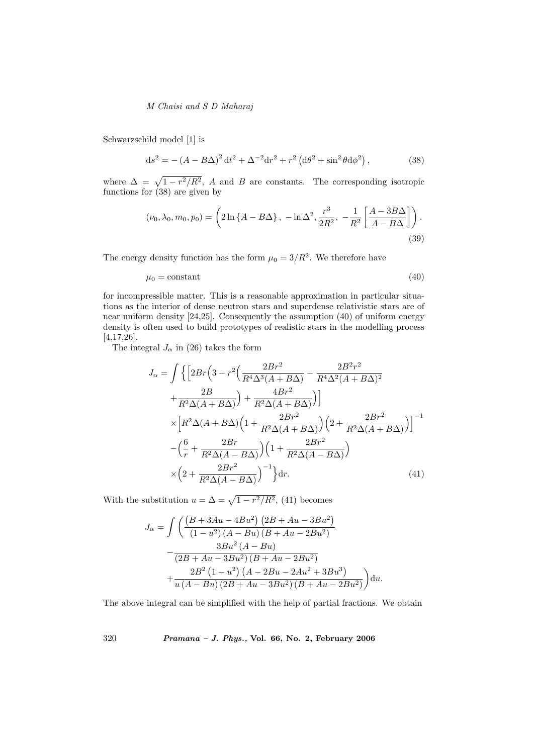Schwarzschild model [1] is

$$
ds^{2} = -(A - B\Delta)^{2} dt^{2} + \Delta^{-2} dr^{2} + r^{2} (d\theta^{2} + \sin^{2} \theta d\phi^{2}),
$$
 (38)

where  $\Delta = \sqrt{1 - r^2/R^2}$ , A and B are constants. The corresponding isotropic functions for  $(38)$  are given by

$$
(\nu_0, \lambda_0, m_0, p_0) = \left(2\ln\left\{A - B\Delta\right\}, -\ln\Delta^2, \frac{r^3}{2R^2}, -\frac{1}{R^2}\left[\frac{A - 3B\Delta}{A - B\Delta}\right]\right).
$$
\n(39)

The energy density function has the form  $\mu_0 = 3/R^2$ . We therefore have

$$
\mu_0 = \text{constant} \tag{40}
$$

for incompressible matter. This is a reasonable approximation in particular situations as the interior of dense neutron stars and superdense relativistic stars are of near uniform density [24,25]. Consequently the assumption (40) of uniform energy density is often used to build prototypes of realistic stars in the modelling process [4,17,26].

The integral  $J_{\alpha}$  in (26) takes the form

$$
J_{\alpha} = \int \left\{ \left[ 2Br \left( 3 - r^2 \left( \frac{2Br^2}{R^4 \Delta^3 (A + B\Delta)} - \frac{2B^2 r^2}{R^4 \Delta^2 (A + B\Delta)^2} \right) + \frac{2B}{R^2 \Delta (A + B\Delta)} \right) + \frac{4Br^2}{R^2 \Delta (A + B\Delta)} \right) \right\}
$$
  

$$
\times \left[ R^2 \Delta (A + B\Delta) \left( 1 + \frac{2Br^2}{R^2 \Delta (A + B\Delta)} \right) \left( 2 + \frac{2Br^2}{R^2 \Delta (A + B\Delta)} \right) \right]^{-1}
$$
  

$$
- \left( \frac{6}{r} + \frac{2Br}{R^2 \Delta (A - B\Delta)} \right) \left( 1 + \frac{2Br^2}{R^2 \Delta (A - B\Delta)} \right)
$$
  

$$
\times \left( 2 + \frac{2Br^2}{R^2 \Delta (A - B\Delta)} \right)^{-1} \right\} dr.
$$
 (41)

With the substitution  $u = \Delta = \sqrt{1 - r^2/R^2}$ , (41) becomes

$$
J_{\alpha} = \int \left( \frac{\left(B + 3Au - 4Bu^{2}\right)\left(2B + Au - 3Bu^{2}\right)}{\left(1 - u^{2}\right)\left(A - Bu\right)\left(B + Au - 2Bu^{2}\right)} - \frac{3Bu^{2}\left(A - Bu\right)}{\left(2B + Au - 3Bu^{2}\right)\left(B + Au - 2Bu^{2}\right)} + \frac{2B^{2}\left(1 - u^{2}\right)\left(A - 2Bu - 2Au^{2} + 3Bu^{3}\right)}{u\left(A - Bu\right)\left(2B + Au - 3Bu^{2}\right)\left(B + Au - 2Bu^{2}\right)}\right) du.
$$

The above integral can be simplified with the help of partial fractions. We obtain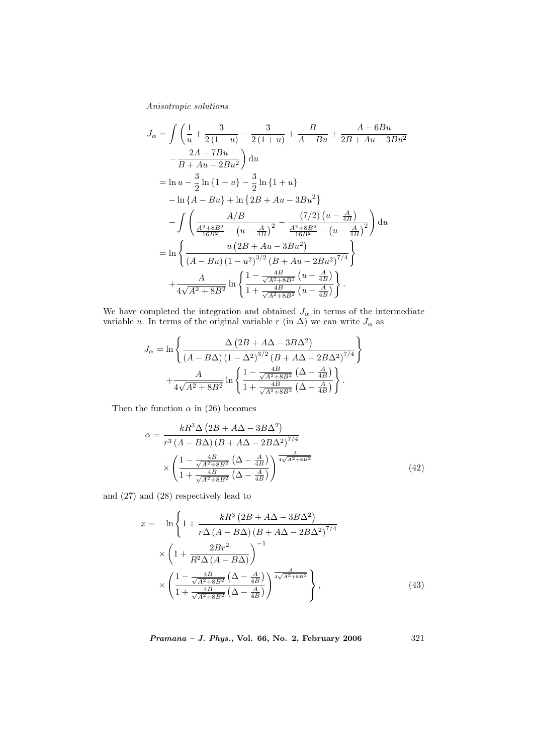$$
J_{\alpha} = \int \left( \frac{1}{u} + \frac{3}{2(1-u)} - \frac{3}{2(1+u)} + \frac{B}{A-Bu} + \frac{A-6Bu}{2B+Au-3Bu^2} \right) du
$$
  
\n
$$
= \frac{2A-7Bu}{B+Au-2Bu^2} du
$$
  
\n
$$
= \ln u - \frac{3}{2} \ln \{1-u\} - \frac{3}{2} \ln \{1+u\}
$$
  
\n
$$
- \ln \{A-Bu\} + \ln \{2B+Au-3Bu^2\}
$$
  
\n
$$
- \int \left( \frac{A/B}{\frac{A^2+8B^2}{16B^2} - (u-\frac{A}{4B})^2} - \frac{(7/2) (u-\frac{A}{4B})}{\frac{A^2+8B^2}{16B^2} - (u-\frac{A}{4B})^2} \right) du
$$
  
\n
$$
= \ln \left\{ \frac{u (2B+Au-3Bu^2)}{(A-Bu) (1-u^2)^{3/2} (B+Au-2Bu^2)^{7/4}} \right\}
$$
  
\n
$$
+ \frac{A}{4\sqrt{A^2+8B^2}} \ln \left\{ \frac{1-\frac{4B}{\sqrt{A^2+8B^2}} (u-\frac{A}{4B})}{1+\frac{4B}{\sqrt{A^2+8B^2}} (u-\frac{A}{4B})} \right\}.
$$

We have completed the integration and obtained  $J_{\alpha}$  in terms of the intermediate variable u. In terms of the original variable r (in  $\Delta$ ) we can write  $J_{\alpha}$  as

$$
J_{\alpha} = \ln \left\{ \frac{\Delta (2B + A\Delta - 3B\Delta^2)}{(A - B\Delta) (1 - \Delta^2)^{3/2} (B + A\Delta - 2B\Delta^2)^{7/4}} \right\} + \frac{A}{4\sqrt{A^2 + 8B^2}} \ln \left\{ \frac{1 - \frac{4B}{\sqrt{A^2 + 8B^2}} (\Delta - \frac{A}{4B})}{1 + \frac{4B}{\sqrt{A^2 + 8B^2}} (\Delta - \frac{A}{4B})} \right\}.
$$

Then the function  $\alpha$  in (26) becomes

$$
\alpha = \frac{kR^3 \Delta \left(2B + A\Delta - 3B\Delta^2\right)}{r^3 \left(A - B\Delta\right) \left(B + A\Delta - 2B\Delta^2\right)^{7/4}}
$$

$$
\times \left(\frac{1 - \frac{4B}{\sqrt{A^2 + 8B^2}} \left(\Delta - \frac{A}{4B}\right)}{1 + \frac{4B}{\sqrt{A^2 + 8B^2}} \left(\Delta - \frac{A}{4B}\right)}\right)^{\frac{A}{4\sqrt{A^2 + 8B^2}}}
$$
(42)

and (27) and (28) respectively lead to

$$
x = -\ln\left\{1 + \frac{kR^3\left(2B + A\Delta - 3B\Delta^2\right)}{r\Delta\left(A - B\Delta\right)\left(B + A\Delta - 2B\Delta^2\right)^{7/4}}\right\}
$$

$$
\times \left(1 + \frac{2Br^2}{R^2\Delta\left(A - B\Delta\right)}\right)^{-1}
$$

$$
\times \left(\frac{1 - \frac{4B}{\sqrt{A^2 + 8B^2}}\left(\Delta - \frac{A}{4B}\right)}{1 + \frac{4B}{\sqrt{A^2 + 8B^2}}\left(\Delta - \frac{A}{4B}\right)}\right)^{\frac{A}{4\sqrt{A^2 + 8B^2}}}\right\},
$$
(43)

$$
Pramana - J. Phys., Vol. 66, No. 2, February 2006 \qquad \qquad 321
$$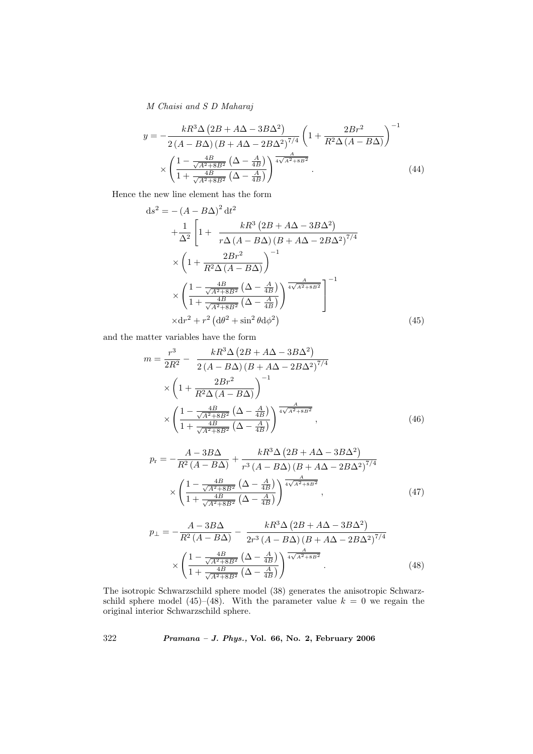$$
y = -\frac{kR^3 \Delta \left(2B + A\Delta - 3B\Delta^2\right)}{2\left(A - B\Delta\right)\left(B + A\Delta - 2B\Delta^2\right)^{7/4}} \left(1 + \frac{2Br^2}{R^2 \Delta \left(A - B\Delta\right)}\right)^{-1}
$$

$$
\times \left(\frac{1 - \frac{4B}{\sqrt{A^2 + 8B^2}} \left(\Delta - \frac{A}{4B}\right)}{1 + \frac{4B}{\sqrt{A^2 + 8B^2}} \left(\Delta - \frac{A}{4B}\right)}\right)^{\frac{A}{4\sqrt{A^2 + 8B^2}}}.
$$
(44)

Hence the new line element has the form

$$
ds^{2} = -(A - B\Delta)^{2} dt^{2}
$$
  
+ 
$$
\frac{1}{\Delta^{2}} \left[ 1 + \frac{kR^{3} (2B + A\Delta - 3B\Delta^{2})}{r\Delta(A - B\Delta) (B + A\Delta - 2B\Delta^{2})^{7/4}} \times \left( 1 + \frac{2Br^{2}}{R^{2}\Delta(A - B\Delta)} \right)^{-1}
$$
  

$$
\times \left( \frac{1 - \frac{4B}{\sqrt{A^{2} + 8B^{2}}} (\Delta - \frac{A}{4B})}{1 + \frac{4B}{\sqrt{A^{2} + 8B^{2}}} (\Delta - \frac{A}{4B})} \right)^{\frac{A}{4\sqrt{A^{2} + 8B^{2}}}} \right]^{-1}
$$
  

$$
\times dr^{2} + r^{2} (d\theta^{2} + \sin^{2}\theta d\phi^{2}) \tag{45}
$$

and the matter variables have the form

$$
m = \frac{r^3}{2R^2} - \frac{kR^3\Delta\left(2B + A\Delta - 3B\Delta^2\right)}{2\left(A - B\Delta\right)\left(B + A\Delta - 2B\Delta^2\right)^{7/4}}
$$

$$
\times \left(1 + \frac{2Br^2}{R^2\Delta\left(A - B\Delta\right)}\right)^{-1}
$$

$$
\times \left(\frac{1 - \frac{4B}{\sqrt{A^2 + 8B^2}}\left(\Delta - \frac{A}{4B}\right)}{1 + \frac{4B}{\sqrt{A^2 + 8B^2}}\left(\Delta - \frac{A}{4B}\right)}\right)^{\frac{A}{4\sqrt{A^2 + 8B^2}}},\tag{46}
$$

$$
p_{\rm r} = -\frac{A - 3B\Delta}{R^2 \left(A - B\Delta\right)} + \frac{kR^3 \Delta \left(2B + A\Delta - 3B\Delta^2\right)}{r^3 \left(A - B\Delta\right) \left(B + A\Delta - 2B\Delta^2\right)^{7/4}}
$$

$$
\times \left(\frac{1 - \frac{4B}{\sqrt{A^2 + 8B^2}} \left(\Delta - \frac{A}{4B}\right)}{1 + \frac{4B}{\sqrt{A^2 + 8B^2}} \left(\Delta - \frac{A}{4B}\right)}\right)^{\frac{A}{4\sqrt{A^2 + 8B^2}}},\tag{47}
$$

$$
p_{\perp} = -\frac{A - 3B\Delta}{R^2 \left(A - B\Delta\right)} - \frac{kR^3 \Delta \left(2B + A\Delta - 3B\Delta^2\right)}{2r^3 \left(A - B\Delta\right) \left(B + A\Delta - 2B\Delta^2\right)^{7/4}} \times \left(\frac{1 - \frac{4B}{\sqrt{A^2 + 8B^2}} \left(\Delta - \frac{A}{4B}\right)}{1 + \frac{4B}{\sqrt{A^2 + 8B^2}} \left(\Delta - \frac{A}{4B}\right)}\right)^{\frac{A}{4\sqrt{A^2 + 8B^2}}}.
$$
\n(48)

The isotropic Schwarzschild sphere model (38) generates the anisotropic Schwarzschild sphere model (45)–(48). With the parameter value  $k = 0$  we regain the original interior Schwarzschild sphere.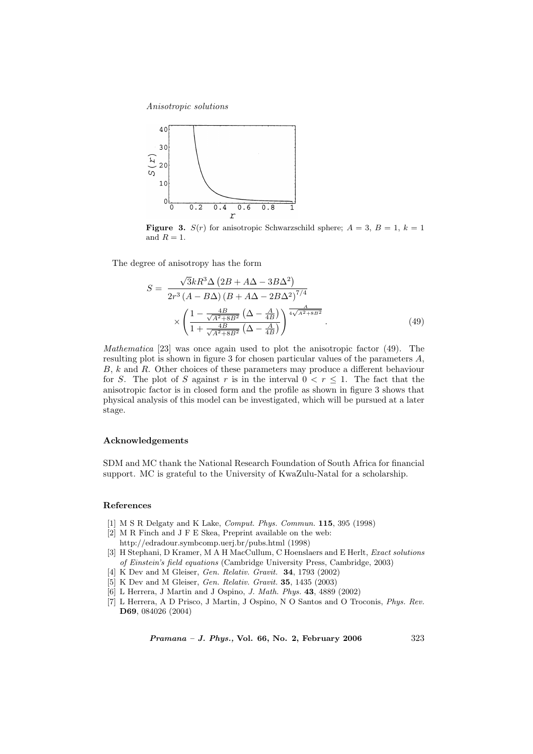

**Figure 3.**  $S(r)$  for anisotropic Schwarzschild sphere;  $A = 3$ ,  $B = 1$ ,  $k = 1$ and  $R = 1$ .

The degree of anisotropy has the form

$$
S = \frac{\sqrt{3}kR^3\Delta\left(2B + A\Delta - 3B\Delta^2\right)}{2r^3\left(A - B\Delta\right)\left(B + A\Delta - 2B\Delta^2\right)^{7/4}} \times \left(\frac{1 - \frac{4B}{\sqrt{A^2 + 8B^2}}\left(\Delta - \frac{A}{4B}\right)}{1 + \frac{4B}{\sqrt{A^2 + 8B^2}}\left(\Delta - \frac{A}{4B}\right)}\right)^{\frac{A}{4\sqrt{A^2 + 8B^2}}}.\tag{49}
$$

Mathematica [23] was once again used to plot the anisotropic factor (49). The resulting plot is shown in figure 3 for chosen particular values of the parameters A, B, k and R. Other choices of these parameters may produce a different behaviour for S. The plot of S against r is in the interval  $0 < r \leq 1$ . The fact that the anisotropic factor is in closed form and the profile as shown in figure 3 shows that physical analysis of this model can be investigated, which will be pursued at a later stage.

#### Acknowledgements

SDM and MC thank the National Research Foundation of South Africa for financial support. MC is grateful to the University of KwaZulu-Natal for a scholarship.

## References

- [1] M S R Delgaty and K Lake, *Comput. Phys. Commun.* **115**, 395 (1998)
- [2] M R Finch and J F E Skea, Preprint available on the web: http://edradour.symbcomp.uerj.br/pubs.html (1998)
- [3] H Stephani, D Kramer, M A H MacCullum, C Hoenslaers and E Herlt, Exact solutions of Einstein's field equations (Cambridge University Press, Cambridge, 2003)
- [4] K Dev and M Gleiser, Gen. Relativ. Gravit. **34**, 1793 (2002)
- [5] K Dev and M Gleiser, Gen. Relativ. Gravit. 35, 1435 (2003)
- [6] L Herrera, J Martin and J Ospino, J. Math. Phys. 43, 4889 (2002)
- [7] L Herrera, A D Prisco, J Martin, J Ospino, N O Santos and O Troconis, Phys. Rev. D69, 084026 (2004)